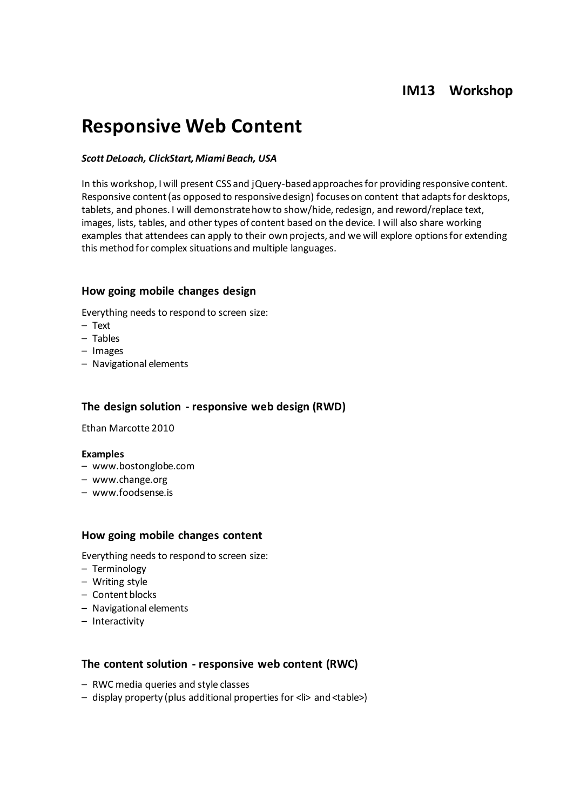# **IM13 Workshop**

# **Responsive Web Content**

#### *Scott DeLoach, ClickStart, Miami Beach, USA*

In this workshop, I will present CSS and jQuery-based approaches for providing responsive content. Responsive content (as opposed to responsive design) focuses on content that adapts for desktops, tablets, and phones. I will demonstrate how to show/hide, redesign, and reword/replace text, images, lists, tables, and other types of content based on the device. I will also share working examples that attendees can apply to their own projects, and we will explore options for extending this method for complex situations and multiple languages.

#### **How going mobile changes design**

Everything needs to respond to screen size:

- Text
- Tables
- Images
- Navigational elements

#### **The design solution - responsive web design (RWD)**

Ethan Marcotte 2010

#### **Examples**

- www.bostonglobe.com
- www.change.org
- www.foodsense.is

#### **How going mobile changes content**

Everything needs to respond to screen size:

- Terminology
- Writing style
- Content blocks
- Navigational elements
- Interactivity

#### **The content solution - responsive web content (RWC)**

- RWC media queries and style classes
- display property (plus additional properties for <li> and <table>)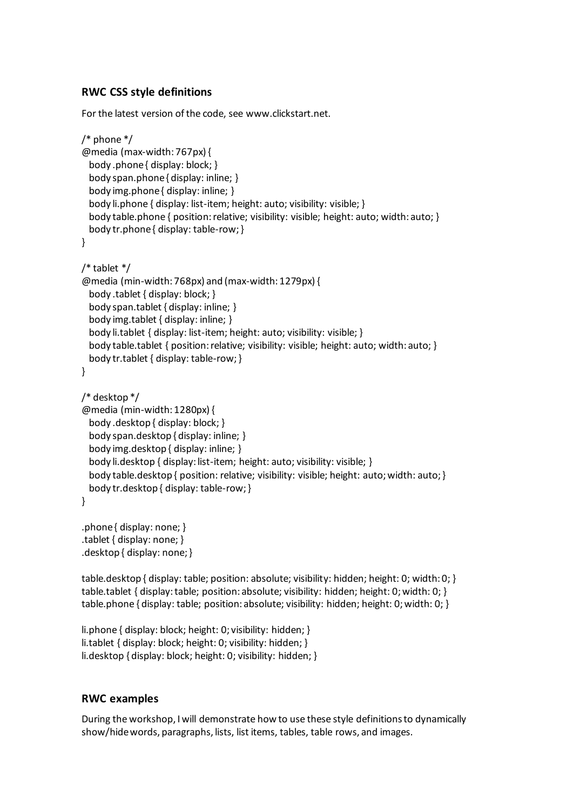# **RWC CSS style definitions**

For the latest version of the code, see www.clickstart.net.

```
/* phone */
@media (max-width: 767px) {
  body .phone { display: block; }
  body span.phone { display: inline; }
 body img.phone { display: inline; }
  body li.phone { display: list-item; height: auto; visibility: visible; }
 body table.phone { position: relative; visibility: visible; height: auto; width: auto; }
  body tr.phone { display: table-row; }
}
/* tablet */
@media (min-width: 768px) and (max-width: 1279px) {
  body .tablet { display: block; }
  body span.tablet { display: inline; }
  body img.tablet { display: inline; }
  body li.tablet { display: list-item; height: auto; visibility: visible; }
 body table.tablet { position: relative; visibility: visible; height: auto; width: auto; }
  body tr.tablet { display: table-row; }
}
/* desktop */
@media (min-width: 1280px) {
  body .desktop { display: block; }
  body span.desktop { display: inline; }
  body img.desktop { display: inline; }
  body li.desktop { display: list-item; height: auto; visibility: visible; }
 body table.desktop { position: relative; visibility: visible; height: auto; width: auto; }
  body tr.desktop { display: table-row; }
}
.phone { display: none; }
.tablet { display: none; }
```
.desktop { display: none; }

table.desktop { display: table; position: absolute; visibility: hidden; height: 0; width: 0; } table.tablet { display: table; position: absolute; visibility: hidden; height: 0; width: 0; } table.phone { display: table; position: absolute; visibility: hidden; height: 0; width: 0; }

```
li.phone { display: block; height: 0; visibility: hidden; }
li.tablet { display: block; height: 0; visibility: hidden; }
li.desktop { display: block; height: 0; visibility: hidden; }
```
### **RWC examples**

During the workshop, I will demonstrate how to use these style definitions to dynamically show/hide words, paragraphs, lists, list items, tables, table rows, and images.